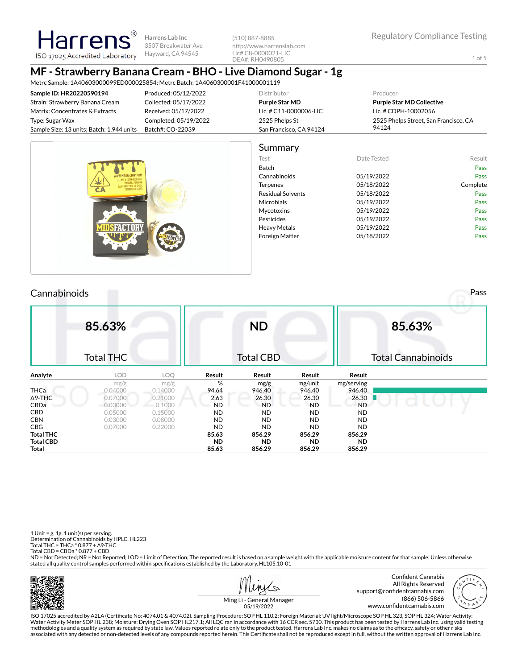1 of 5

**Harrens Lab Inc** 3507 Breakwater Ave Hayward, CA 94545 ISO 17025 Accredited Laboratory

(510) 887-8885 http://www.harrenslab.com Lic# C8-0000021-LIC DEA#: RH0490805

#### **MF - Strawberry Banana Cream - BHO - Live Diamond Sugar - 1g** Metrc Sample: 1A40603000099ED000025854; Metrc Batch: 1A4060300001F41000001119

| <u>MEILC JAHUU COOSUUUU 7 EDUUUD 2004, MEILC DALCH. IA400000000 IF4 IUUUUD II 7</u> |                       |                         |                                       |
|-------------------------------------------------------------------------------------|-----------------------|-------------------------|---------------------------------------|
| Sample ID: HR20220590194                                                            | Produced: 05/12/2022  | Distributor             | Producer                              |
| Strain: Strawberry Banana Cream                                                     | Collected: 05/17/2022 | Purple Star MD          | <b>Purple Star MD Collective</b>      |
| Matrix: Concentrates & Extracts                                                     | Received: 05/17/2022  | Lic. # C11-0000006-LIC  | Lic. # CDPH-10002056                  |
| Type: Sugar Wax                                                                     | Completed: 05/19/2022 | 2525 Phelps St          | 2525 Phelps Street, San Francisco, CA |
| Sample Size: 13 units; Batch: 1,944 units                                           | Batch#: CO-22039      | San Francisco, CA 94124 | 94124                                 |
|                                                                                     |                       |                         |                                       |



# Cannabinoids Pass

Harrer

|                  | 85.63%<br><b>Total THC</b> |         |           | <b>ND</b><br><b>Total CBD</b> |           |            | 85.63%<br><b>Total Cannabinoids</b> |
|------------------|----------------------------|---------|-----------|-------------------------------|-----------|------------|-------------------------------------|
| Analyte          | <b>LOD</b>                 | LOQ     | Result    | Result                        | Result    | Result     |                                     |
|                  | mg/g                       | mg/g    | %         | mg/g                          | mg/unit   | mg/serving |                                     |
| <b>THCa</b>      | 0.04000                    | 0.14000 | 94.64     | 946.40                        | 946.40    | 946.40     |                                     |
| $\Delta$ 9-THC   | 0.07000                    | 0.21000 | 2.63      | 26.30                         | 26.30     | 26.30      |                                     |
| CBDa             | 0.03000                    | 0.1000  | <b>ND</b> | <b>ND</b>                     | <b>ND</b> | <b>ND</b>  |                                     |
| <b>CBD</b>       | 0.05000                    | 0.15000 | <b>ND</b> | <b>ND</b>                     | <b>ND</b> | <b>ND</b>  |                                     |
| <b>CBN</b>       | 0.03000                    | 0.08000 | <b>ND</b> | <b>ND</b>                     | <b>ND</b> | <b>ND</b>  |                                     |
| <b>CBG</b>       | 0.07000                    | 0.22000 | <b>ND</b> | <b>ND</b>                     | <b>ND</b> | ND.        |                                     |
| <b>Total THC</b> |                            |         | 85.63     | 856.29                        | 856.29    | 856.29     |                                     |
| <b>Total CBD</b> |                            |         | <b>ND</b> | <b>ND</b>                     | <b>ND</b> | <b>ND</b>  |                                     |
| Total            |                            |         | 85.63     | 856.29                        | 856.29    | 856.29     |                                     |

1 Unit = g, 1g. 1 unit(s) per serving. Determination of Cannabinoids by HPLC, HL223 Total THC = THCa \* 0.877 + ∆9-THC Total CBD = CBDa \* 0.877 + CBD

ND = Not Detected; NR = Not Reported; LOD = Limit of Detection; The reported result is based on a sample weight with the applicable moisture content for that sample; Unless otherwise stated all quality control samples performed within specifications established by the Laboratory. HL105.10-01







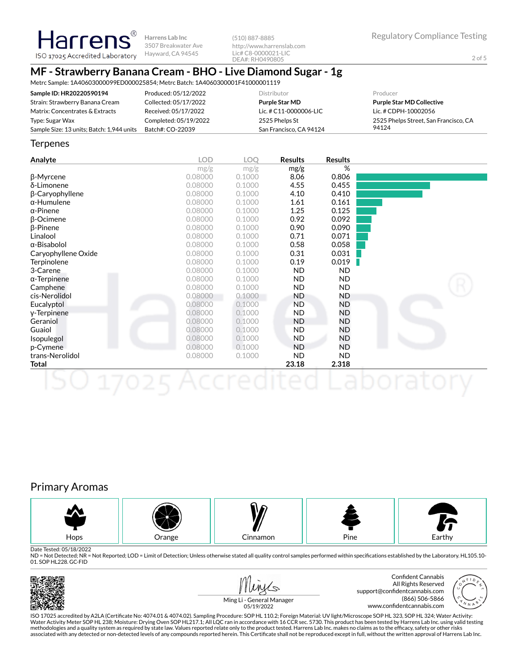2 of 5

#### ISO 17025 Accredited Laboratory Hayward, CA 94545 DEA#: RH0490805 **MF - Strawberry Banana Cream - BHO - Live Diamond Sugar - 1g**

**Harrens Lab Inc** 3507 Breakwater Ave

Metrc Sample: 1A40603000099ED000025854; Metrc Batch: 1A4060300001F41000001119

| Sample ID: HR20220590194                  | Produced: 05/12/2022  | <b>Distributor</b>      | Producer                              |
|-------------------------------------------|-----------------------|-------------------------|---------------------------------------|
| Strain: Strawberry Banana Cream           | Collected: 05/17/2022 | Purple Star MD          | <b>Purple Star MD Collective</b>      |
| Matrix: Concentrates & Extracts           | Received: 05/17/2022  | Lic. # C11-0000006-LIC  | Lic. # CDPH-10002056                  |
| Type: Sugar Wax                           | Completed: 05/19/2022 | 2525 Phelps St          | 2525 Phelps Street, San Francisco, CA |
| Sample Size: 13 units; Batch: 1,944 units | Batch#: CO-22039      | San Francisco, CA 94124 | 94124                                 |

(510) 887-8885

http://www.harrenslab.com Lic# C8-0000021-LIC

#### **Terpenes**

**Harrens** 

| Analyte             | <b>LOD</b> | <b>LOO</b> | <b>Results</b> | <b>Results</b> |  |
|---------------------|------------|------------|----------------|----------------|--|
|                     | mg/g       | mg/g       | mg/g           | %              |  |
| β-Myrcene           | 0.08000    | 0.1000     | 8.06           | 0.806          |  |
| δ-Limonene          | 0.08000    | 0.1000     | 4.55           | 0.455          |  |
| β-Caryophyllene     | 0.08000    | 0.1000     | 4.10           | 0.410          |  |
| $\alpha$ -Humulene  | 0.08000    | 0.1000     | 1.61           | 0.161          |  |
| $\alpha$ -Pinene    | 0.08000    | 0.1000     | 1.25           | 0.125          |  |
| $\beta$ -Ocimene    | 0.08000    | 0.1000     | 0.92           | 0.092          |  |
| $\beta$ -Pinene     | 0.08000    | 0.1000     | 0.90           | 0.090          |  |
| Linalool            | 0.08000    | 0.1000     | 0.71           | 0.071          |  |
| α-Bisabolol         | 0.08000    | 0.1000     | 0.58           | 0.058          |  |
| Caryophyllene Oxide | 0.08000    | 0.1000     | 0.31           | 0.031          |  |
| Terpinolene         | 0.08000    | 0.1000     | 0.19           | 0.019          |  |
| 3-Carene            | 0.08000    | 0.1000     | ND.            | ND.            |  |
| $\alpha$ -Terpinene | 0.08000    | 0.1000     | ND.            | ND.            |  |
| Camphene            | 0.08000    | 0.1000     | ND.            | ND.            |  |
| cis-Nerolidol       | 0.08000    | 0.1000     | ND             | ND             |  |
| Eucalyptol          | 0.08000    | 0.1000     | <b>ND</b>      | ND             |  |
| y-Terpinene         | 0.08000    | 0.1000     | ND.            | ND             |  |
| Geraniol            | 0.08000    | 0.1000     | <b>ND</b>      | ND             |  |
| Guaiol              | 0.08000    | 0.1000     | ND.            | ND             |  |
| Isopulegol          | 0.08000    | 0.1000     | <b>ND</b>      | ND             |  |
| p-Cymene            | 0.08000    | 0.1000     | <b>ND</b>      | ND             |  |
| trans-Nerolidol     | 0.08000    | 0.1000     | ND.            | ND.            |  |
| Total               |            |            | 23.18          | 2.318          |  |
|                     |            |            |                |                |  |

## Primary Aromas



Date Tested: 05/18/2022

ND = Not Detected; NR = Not Reported; LOD = Limit of Detection; Unless otherwise stated all quality control samples performed within specifications established by the Laboratory. HL105.10-01. SOP HL228. GC-FID









Ming Li - General Manager 05/19/2022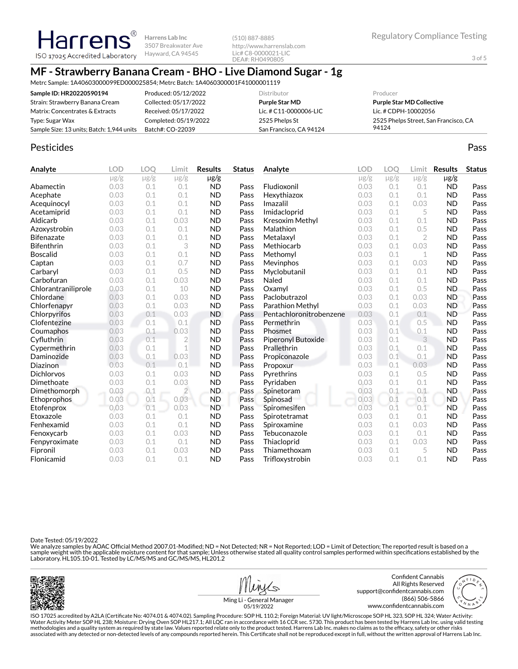# **MF - Strawberry Banana Cream - BHO - Live Diamond Sugar - 1g**

Metrc Sample: 1A40603000099ED000025854; Metrc Batch: 1A4060300001F41000001119

**Harrens Lab Inc** 3507 Breakwater Ave Hayward, CA 94545

| Sample ID: HR20220590194                  | Produced: 05/12/2022  | Distributor              | Producer                              |
|-------------------------------------------|-----------------------|--------------------------|---------------------------------------|
| Strain: Strawberry Banana Cream           | Collected: 05/17/2022 | <b>Purple Star MD</b>    | <b>Purple Star MD Collective</b>      |
| Matrix: Concentrates & Extracts           | Received: 05/17/2022  | Lic. # $C11-0000006-LLC$ | Lic. # CDPH-10002056                  |
| Type: Sugar Wax                           | Completed: 05/19/2022 | 2525 Phelps St           | 2525 Phelps Street, San Francisco, CA |
| Sample Size: 13 units; Batch: 1,944 units | Batch#: CO-22039      | San Francisco, CA 94124  | 94124                                 |

(510) 887-8885

http://www.harrenslab.com Lic# C8-0000021-LIC DEA#: RH0490805

## Pesticides **Passage Community Community Community** Passes and the extension of the extension of the extension of the extension of the extension of the extension of the extension of the extension of the extension of the ext

**Harren** 

ISO 17025 Accredited Laboratory

| Analyte             | <b>LOD</b> | <b>LOO</b> | Limit          | <b>Results</b> | <b>Status</b> | Analyte                 | <b>LOD</b> | <b>LOO</b> | Limit     | <b>Results</b> | <b>Status</b> |
|---------------------|------------|------------|----------------|----------------|---------------|-------------------------|------------|------------|-----------|----------------|---------------|
|                     | $\mu$ g/g  | $\mu$ g/g  | $\mu$ g/g      | $\mu$ g/g      |               |                         | $\mu$ g/g  | $\mu$ g/g  | $\mu$ g/g | $\mu$ g/g      |               |
| Abamectin           | 0.03       | 0.1        | 0.1            | <b>ND</b>      | Pass          | Fludioxonil             | 0.03       | 0.1        | 0.1       | <b>ND</b>      | Pass          |
| Acephate            | 0.03       | 0.1        | 0.1            | <b>ND</b>      | Pass          | Hexythiazox             | 0.03       | 0.1        | 0.1       | <b>ND</b>      | Pass          |
| Acequinocyl         | 0.03       | 0.1        | 0.1            | <b>ND</b>      | Pass          | Imazalil                | 0.03       | 0.1        | 0.03      | <b>ND</b>      | Pass          |
| Acetamiprid         | 0.03       | 0.1        | 0.1            | <b>ND</b>      | Pass          | Imidacloprid            | 0.03       | 0.1        | 5         | <b>ND</b>      | Pass          |
| Aldicarb            | 0.03       | 0.1        | 0.03           | <b>ND</b>      | Pass          | <b>Kresoxim Methyl</b>  | 0.03       | 0.1        | 0.1       | <b>ND</b>      | Pass          |
| Azoxystrobin        | 0.03       | 0.1        | 0.1            | <b>ND</b>      | Pass          | Malathion               | 0.03       | 0.1        | 0.5       | <b>ND</b>      | Pass          |
| <b>Bifenazate</b>   | 0.03       | 0.1        | 0.1            | <b>ND</b>      | Pass          | Metalaxyl               | 0.03       | 0.1        | 2         | <b>ND</b>      | Pass          |
| <b>Bifenthrin</b>   | 0.03       | 0.1        | 3              | <b>ND</b>      | Pass          | Methiocarb              | 0.03       | 0.1        | 0.03      | <b>ND</b>      | Pass          |
| <b>Boscalid</b>     | 0.03       | 0.1        | 0.1            | <b>ND</b>      | Pass          | Methomyl                | 0.03       | 0.1        | 1         | <b>ND</b>      | Pass          |
| Captan              | 0.03       | 0.1        | 0.7            | <b>ND</b>      | Pass          | Mevinphos               | 0.03       | 0.1        | 0.03      | <b>ND</b>      | Pass          |
| Carbaryl            | 0.03       | 0.1        | 0.5            | <b>ND</b>      | Pass          | Myclobutanil            | 0.03       | 0.1        | 0.1       | <b>ND</b>      | Pass          |
| Carbofuran          | 0.03       | 0.1        | 0.03           | <b>ND</b>      | Pass          | Naled                   | 0.03       | 0.1        | 0.1       | <b>ND</b>      | Pass          |
| Chlorantraniliprole | 0.03       | 0.1        | 10             | <b>ND</b>      | Pass          | Oxamyl                  | 0.03       | 0.1        | 0.5       | <b>ND</b>      | Pass          |
| Chlordane           | 0.03       | 0.1        | 0.03           | <b>ND</b>      | Pass          | Paclobutrazol           | 0.03       | 0.1        | 0.03      | <b>ND</b>      | Pass          |
| Chlorfenapyr        | 0.03       | 0.1        | 0.03           | <b>ND</b>      | Pass          | Parathion Methyl        | 0.03       | 0.1        | 0.03      | <b>ND</b>      | Pass          |
| Chlorpyrifos        | 0.03       | 0.1        | 0.03           | <b>ND</b>      | Pass          | Pentachloronitrobenzene | 0.03       | 0.1        | 0.1       | <b>ND</b>      | Pass          |
| Clofentezine        | 0.03       | 0.1        | 0.1            | <b>ND</b>      | Pass          | Permethrin              | 0.03       | 0.1        | 0.5       | <b>ND</b>      | Pass          |
| Coumaphos           | 0.03       | 0.1        | 0.03           | <b>ND</b>      | Pass          | Phosmet                 | 0.03       | 0.1        | 0.1       | <b>ND</b>      | Pass          |
| Cyfluthrin          | 0.03       | 0.1        | $\overline{2}$ | <b>ND</b>      | Pass          | Piperonyl Butoxide      | 0.03       | 0.1        | 3         | <b>ND</b>      | Pass          |
| Cypermethrin        | 0.03       | 0.1        | 1              | <b>ND</b>      | Pass          | Prallethrin             | 0.03       | 0.1        | 0.1       | <b>ND</b>      | Pass          |
| Daminozide          | 0.03       | 0.1        | 0.03           | <b>ND</b>      | Pass          | Propiconazole           | 0.03       | 0.1        | 0.1       | <b>ND</b>      | Pass          |
| Diazinon            | 0.03       | 0.1        | 0.1            | <b>ND</b>      | Pass          | Propoxur                | 0.03       | 0.1        | 0.03      | <b>ND</b>      | Pass          |
| <b>Dichlorvos</b>   | 0.03       | 0.1        | 0.03           | <b>ND</b>      | Pass          | Pyrethrins              | 0.03       | 0.1        | 0.5       | <b>ND</b>      | Pass          |
| Dimethoate          | 0.03       | 0.1        | 0.03           | <b>ND</b>      | Pass          | Pyridaben               | 0.03       | 0.1        | 0.1       | <b>ND</b>      | Pass          |
| Dimethomorph        | 0.03       | 0.1        | $\overline{2}$ | ND.            | Pass          | Spinetoram              | 0.03       | 0.1        | 0.1       | <b>ND</b>      | Pass          |
| Ethoprophos         | 0.03       | 0.1        | 0.03           | <b>ND</b>      | Pass          | Spinosad                | 0.03       | 0.1        | 0.1       | <b>ND</b>      | Pass          |
| Etofenprox          | 0.03       | 0.1        | 0.03           | <b>ND</b>      | Pass          | Spiromesifen            | 0.03       | 0.1        | 0.1       | <b>ND</b>      | Pass          |
| Etoxazole           | 0.03       | 0.1        | 0.1            | <b>ND</b>      | Pass          | Spirotetramat           | 0.03       | 0.1        | 0.1       | <b>ND</b>      | Pass          |
| Fenhexamid          | 0.03       | 0.1        | 0.1            | <b>ND</b>      | Pass          | Spiroxamine             | 0.03       | 0.1        | 0.03      | <b>ND</b>      | Pass          |
| Fenoxycarb          | 0.03       | 0.1        | 0.03           | <b>ND</b>      | Pass          | Tebuconazole            | 0.03       | 0.1        | 0.1       | <b>ND</b>      | Pass          |
| Fenpyroximate       | 0.03       | 0.1        | 0.1            | <b>ND</b>      | Pass          | Thiacloprid             | 0.03       | 0.1        | 0.03      | <b>ND</b>      | Pass          |
| Fipronil            | 0.03       | 0.1        | 0.03           | <b>ND</b>      | Pass          | Thiamethoxam            | 0.03       | 0.1        | 5         | <b>ND</b>      | Pass          |
| Flonicamid          | 0.03       | 0.1        | 0.1            | <b>ND</b>      | Pass          | Trifloxystrobin         | 0.03       | 0.1        | 0.1       | <b>ND</b>      | Pass          |

Date Tested: 05/19/2022

We analyze samples by AOAC Official Method 2007.01-Modified; ND = Not Detected; NR = Not Reported; LOD = Limit of Detection; The reported result is based on a sample weight with the applicable moisture content for that sample; Unless otherwise stated all quality control samples performed within specifications established by the<br>Laboratory. HL105.10-01. Tested by LC/MS/MS and GC/







Ming Li - General Manager 05/19/2022

ISO 17025 accredited by A2LA (Certicate No: 4074.01 & 4074.02). Sampling Procedure: SOP HL 110.2; Foreign Material: UV light/Microscope SOP HL 323, SOP HL 324; Water Activity: Water Activity Meter SOP HL 238; Moisture: Drying Oven SOP HL217.1; All LQC ran in accordance with 16 CCR sec. 5730. This product has been tested by Harrens Lab Inc. using valid testing methodologies and a quality system as required by state law. Values reported relate only to the product tested. Harrens Lab Inc. makes no claims as to the efficacy, safety or other risks<br>associated with any detected or non

3 of 5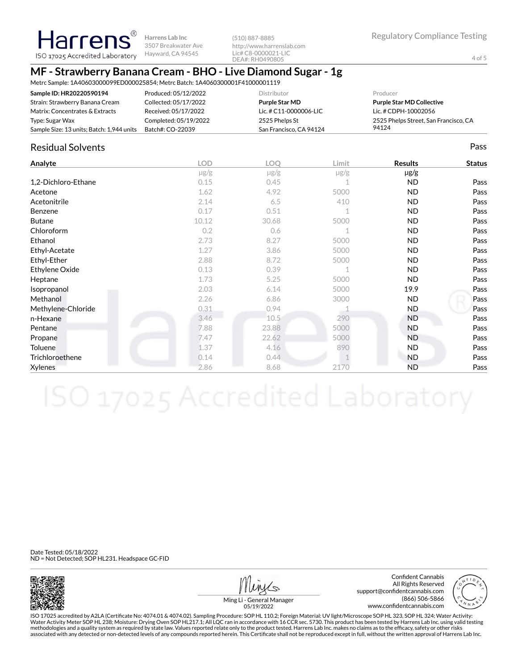(510) 887-8885 http://www.harrenslab.com Lic# C8-0000021-LIC DEA#: RH0490805

4 of 5

# **MF - Strawberry Banana Cream - BHO - Live Diamond Sugar - 1g**

Metrc Sample: 1A40603000099ED000025854; Metrc Batch: 1A4060300001F41000001119

| Sample ID: HR20220590194                  | Produced: 05/12/2022  | <b>Distributor</b>      | Producer                              |
|-------------------------------------------|-----------------------|-------------------------|---------------------------------------|
| Strain: Strawberry Banana Cream           | Collected: 05/17/2022 | <b>Purple Star MD</b>   | <b>Purple Star MD Collective</b>      |
| Matrix: Concentrates & Extracts           | Received: 05/17/2022  | Lic. # C11-0000006-LIC  | Lic. # CDPH-10002056                  |
| Type: Sugar Wax                           | Completed: 05/19/2022 | 2525 Phelps St          | 2525 Phelps Street, San Francisco, CA |
| Sample Size: 13 units; Batch: 1,944 units | Batch#: CO-22039      | San Francisco. CA 94124 | 94124                                 |

## Residual Solvents Pass

| Analyte             | <b>LOD</b> | LOQ       | Limit     | <b>Results</b> | <b>Status</b> |
|---------------------|------------|-----------|-----------|----------------|---------------|
|                     | $\mu$ g/g  | $\mu$ g/g | $\mu$ g/g | µg/g           |               |
| 1,2-Dichloro-Ethane | 0.15       | 0.45      |           | ND.            | Pass          |
| Acetone             | 1.62       | 4.92      | 5000      | ND.            | Pass          |
| Acetonitrile        | 2.14       | 6.5       | 410       | <b>ND</b>      | Pass          |
| Benzene             | 0.17       | 0.51      |           | ND.            | Pass          |
| <b>Butane</b>       | 10.12      | 30.68     | 5000      | ND.            | Pass          |
| Chloroform          | 0.2        | 0.6       | 1         | <b>ND</b>      | Pass          |
| Ethanol             | 2.73       | 8.27      | 5000      | ND.            | Pass          |
| Ethyl-Acetate       | 1.27       | 3.86      | 5000      | ND.            | Pass          |
| Ethyl-Ether         | 2.88       | 8.72      | 5000      | <b>ND</b>      | Pass          |
| Ethylene Oxide      | 0.13       | 0.39      |           | ND.            | Pass          |
| Heptane             | 1.73       | 5.25      | 5000      | <b>ND</b>      | Pass          |
| Isopropanol         | 2.03       | 6.14      | 5000      | 19.9           | Pass          |
| Methanol            | 2.26       | 6.86      | 3000      | ND.            | Pass          |
| Methylene-Chloride  | 0.31       | 0.94      |           | ND.            | Pass          |
| n-Hexane            | 3.46       | 10.5      | 290       | <b>ND</b>      | Pass          |
| Pentane             | 7.88       | 23.88     | 5000      | <b>ND</b>      | Pass          |
| Propane             | 7.47       | 22.62     | 5000      | <b>ND</b>      | Pass          |
| Toluene             | 1.37       | 4.16      | 890       | ND.            | Pass          |
| Trichloroethene     | 0.14       | 0.44      |           | ND.            | Pass          |
| Xylenes             | 2.86       | 8.68      | 2170      | <b>ND</b>      | Pass          |

Date Tested: 05/18/2022 ND = Not Detected; SOP HL231. Headspace GC-FID



Confident Cannabis All Rights Reserved support@confidentcannabis.com (866) 506-5866 www.confidentcannabis.com



Ming Li - General Manager 05/19/2022